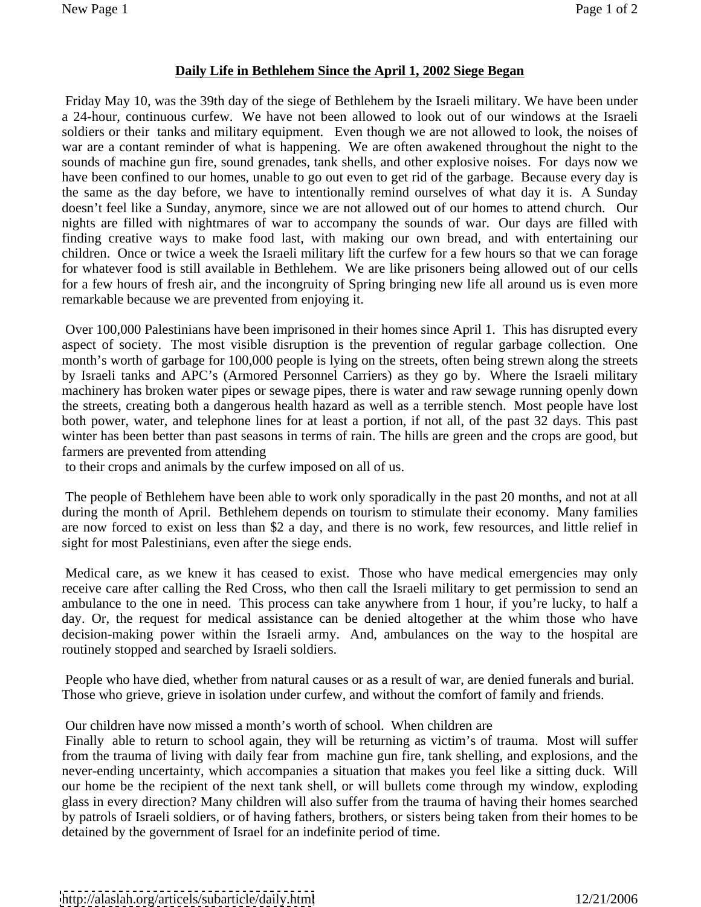## **Daily Life in Bethlehem Since the April 1, 2002 Siege Began**

Friday May 10, was the 39th day of the siege of Bethlehem by the Israeli military. We have been under a 24-hour, continuous curfew. We have not been allowed to look out of our windows at the Israeli soldiers or their tanks and military equipment. Even though we are not allowed to look, the noises of war are a contant reminder of what is happening. We are often awakened throughout the night to the sounds of machine gun fire, sound grenades, tank shells, and other explosive noises. For days now we have been confined to our homes, unable to go out even to get rid of the garbage. Because every day is the same as the day before, we have to intentionally remind ourselves of what day it is. A Sunday doesn't feel like a Sunday, anymore, since we are not allowed out of our homes to attend church. Our nights are filled with nightmares of war to accompany the sounds of war. Our days are filled with finding creative ways to make food last, with making our own bread, and with entertaining our children. Once or twice a week the Israeli military lift the curfew for a few hours so that we can forage for whatever food is still available in Bethlehem. We are like prisoners being allowed out of our cells for a few hours of fresh air, and the incongruity of Spring bringing new life all around us is even more remarkable because we are prevented from enjoying it.

 Over 100,000 Palestinians have been imprisoned in their homes since April 1. This has disrupted every aspect of society. The most visible disruption is the prevention of regular garbage collection. One month's worth of garbage for 100,000 people is lying on the streets, often being strewn along the streets by Israeli tanks and APC's (Armored Personnel Carriers) as they go by. Where the Israeli military machinery has broken water pipes or sewage pipes, there is water and raw sewage running openly down the streets, creating both a dangerous health hazard as well as a terrible stench. Most people have lost both power, water, and telephone lines for at least a portion, if not all, of the past 32 days. This past winter has been better than past seasons in terms of rain. The hills are green and the crops are good, but farmers are prevented from attending

to their crops and animals by the curfew imposed on all of us.

The people of Bethlehem have been able to work only sporadically in the past 20 months, and not at all during the month of April. Bethlehem depends on tourism to stimulate their economy. Many families are now forced to exist on less than \$2 a day, and there is no work, few resources, and little relief in sight for most Palestinians, even after the siege ends.

Medical care, as we knew it has ceased to exist. Those who have medical emergencies may only receive care after calling the Red Cross, who then call the Israeli military to get permission to send an ambulance to the one in need. This process can take anywhere from 1 hour, if you're lucky, to half a day. Or, the request for medical assistance can be denied altogether at the whim those who have decision-making power within the Israeli army. And, ambulances on the way to the hospital are routinely stopped and searched by Israeli soldiers.

 People who have died, whether from natural causes or as a result of war, are denied funerals and burial. Those who grieve, grieve in isolation under curfew, and without the comfort of family and friends.

Our children have now missed a month's worth of school. When children are

Finally able to return to school again, they will be returning as victim's of trauma. Most will suffer from the trauma of living with daily fear from machine gun fire, tank shelling, and explosions, and the never-ending uncertainty, which accompanies a situation that makes you feel like a sitting duck. Will our home be the recipient of the next tank shell, or will bullets come through my window, exploding glass in every direction? Many children will also suffer from the trauma of having their homes searched by patrols of Israeli soldiers, or of having fathers, brothers, or sisters being taken from their homes to be detained by the government of Israel for an indefinite period of time.